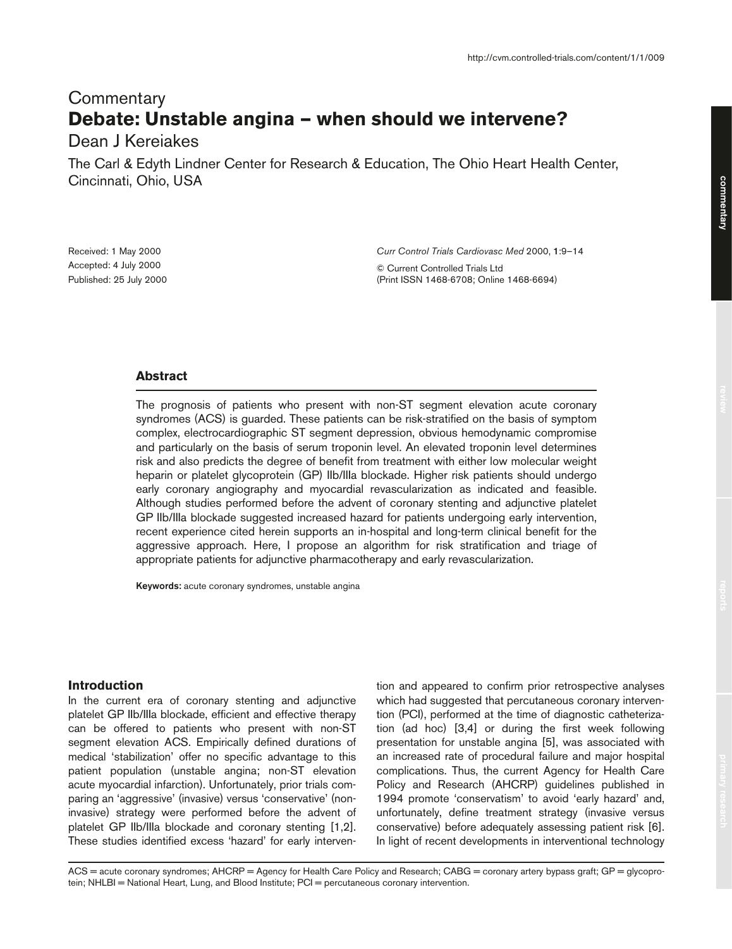# **Commentary Debate: Unstable angina — when should we intervene?**

# Dean J Kereiakes

The Carl & Edyth Lindner Center for Research & Education, The Ohio Heart Health Center, Cincinnati, Ohio, USA

Received: 1 May 2000 Accepted: 4 July 2000 Published: 25 July 2000 *Curr Control Trials Cardiovasc Med* 2000, **1**:9–14

© Current Controlled Trials Ltd (Print ISSN 1468-6708; Online 1468-6694)

# **Abstract**

The prognosis of patients who present with non-ST segment elevation acute coronary syndromes (ACS) is guarded. These patients can be risk-stratified on the basis of symptom complex, electrocardiographic ST segment depression, obvious hemodynamic compromise and particularly on the basis of serum troponin level. An elevated troponin level determines risk and also predicts the degree of benefit from treatment with either low molecular weight heparin or platelet glycoprotein (GP) IIb/IIIa blockade. Higher risk patients should undergo early coronary angiography and myocardial revascularization as indicated and feasible. Although studies performed before the advent of coronary stenting and adjunctive platelet GP IIb/IIIa blockade suggested increased hazard for patients undergoing early intervention, recent experience cited herein supports an in-hospital and long-term clinical benefit for the aggressive approach. Here, I propose an algorithm for risk stratification and triage of appropriate patients for adjunctive pharmacotherapy and early revascularization.

**Keywords:** acute coronary syndromes, unstable angina

#### **Introduction**

In the current era of coronary stenting and adjunctive platelet GP IIb/IIIa blockade, efficient and effective therapy can be offered to patients who present with non-ST segment elevation ACS. Empirically defined durations of medical 'stabilization' offer no specific advantage to this patient population (unstable angina; non-ST elevation acute myocardial infarction). Unfortunately, prior trials comparing an 'aggressive' (invasive) versus 'conservative' (noninvasive) strategy were performed before the advent of platelet GP IIb/IIIa blockade and coronary stenting [1,2]. These studies identified excess 'hazard' for early intervention and appeared to confirm prior retrospective analyses which had suggested that percutaneous coronary intervention (PCI), performed at the time of diagnostic catheterization (ad hoc) [3,4] or during the first week following presentation for unstable angina [5], was associated with an increased rate of procedural failure and major hospital complications. Thus, the current Agency for Health Care Policy and Research (AHCRP) guidelines published in 1994 promote 'conservatism' to avoid 'early hazard' and, unfortunately, define treatment strategy (invasive versus conservative) before adequately assessing patient risk [6]. In light of recent developments in interventional technology

ACS = acute coronary syndromes; AHCRP = Agency for Health Care Policy and Research; CABG = coronary artery bypass graft; GP = glycoprotein; NHLBI = National Heart, Lung, and Blood Institute; PCI = percutaneous coronary intervention.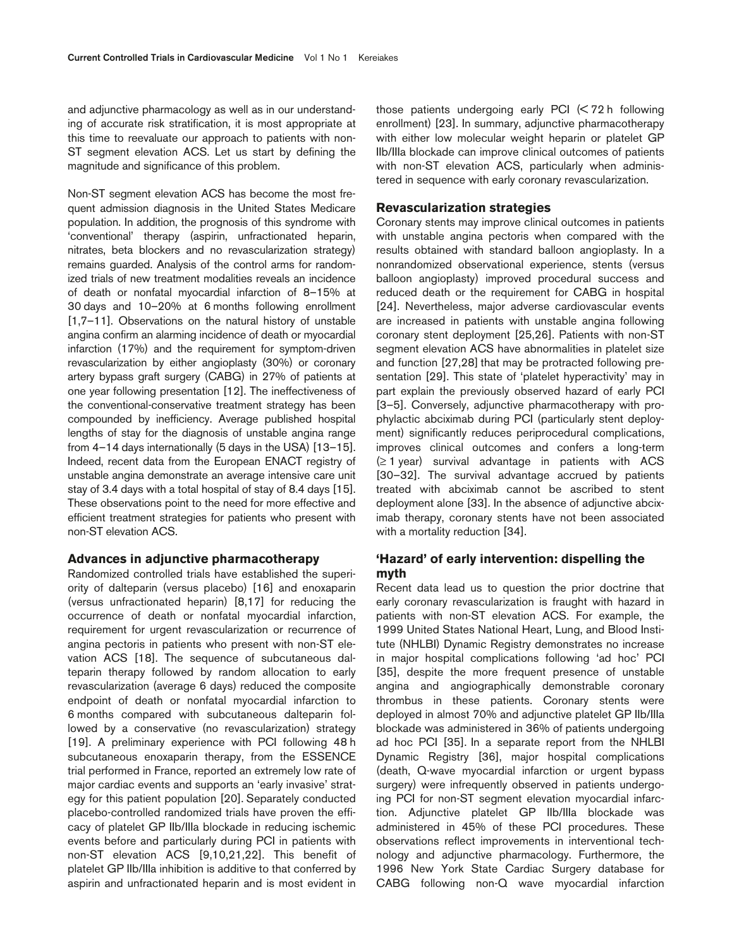and adjunctive pharmacology as well as in our understanding of accurate risk stratification, it is most appropriate at this time to reevaluate our approach to patients with non-ST segment elevation ACS. Let us start by defining the magnitude and significance of this problem.

Non-ST segment elevation ACS has become the most frequent admission diagnosis in the United States Medicare population. In addition, the prognosis of this syndrome with 'conventional' therapy (aspirin, unfractionated heparin, nitrates, beta blockers and no revascularization strategy) remains guarded. Analysis of the control arms for randomized trials of new treatment modalities reveals an incidence of death or nonfatal myocardial infarction of 8–15% at 30 days and 10–20% at 6 months following enrollment [1,7–11]. Observations on the natural history of unstable angina confirm an alarming incidence of death or myocardial infarction (17%) and the requirement for symptom-driven revascularization by either angioplasty (30%) or coronary artery bypass graft surgery (CABG) in 27% of patients at one year following presentation [12]. The ineffectiveness of the conventional-conservative treatment strategy has been compounded by inefficiency. Average published hospital lengths of stay for the diagnosis of unstable angina range from 4–14 days internationally (5 days in the USA) [13–15]. Indeed, recent data from the European ENACT registry of unstable angina demonstrate an average intensive care unit stay of 3.4 days with a total hospital of stay of 8.4 days [15]. These observations point to the need for more effective and efficient treatment strategies for patients who present with non-ST elevation ACS.

#### **Advances in adjunctive pharmacotherapy**

Randomized controlled trials have established the superiority of dalteparin (versus placebo) [16] and enoxaparin (versus unfractionated heparin) [8,17] for reducing the occurrence of death or nonfatal myocardial infarction, requirement for urgent revascularization or recurrence of angina pectoris in patients who present with non-ST elevation ACS [18]. The sequence of subcutaneous dalteparin therapy followed by random allocation to early revascularization (average 6 days) reduced the composite endpoint of death or nonfatal myocardial infarction to 6 months compared with subcutaneous dalteparin followed by a conservative (no revascularization) strategy [19]. A preliminary experience with PCI following 48 h subcutaneous enoxaparin therapy, from the ESSENCE trial performed in France, reported an extremely low rate of major cardiac events and supports an 'early invasive' strategy for this patient population [20]. Separately conducted placebo-controlled randomized trials have proven the efficacy of platelet GP IIb/IIIa blockade in reducing ischemic events before and particularly during PCI in patients with non-ST elevation ACS [9,10,21,22]. This benefit of platelet GP IIb/IIIa inhibition is additive to that conferred by aspirin and unfractionated heparin and is most evident in those patients undergoing early PCI (< 72 h following enrollment) [23]. In summary, adjunctive pharmacotherapy with either low molecular weight heparin or platelet GP IIb/IIIa blockade can improve clinical outcomes of patients with non-ST elevation ACS, particularly when administered in sequence with early coronary revascularization.

#### **Revascularization strategies**

Coronary stents may improve clinical outcomes in patients with unstable angina pectoris when compared with the results obtained with standard balloon angioplasty. In a nonrandomized observational experience, stents (versus balloon angioplasty) improved procedural success and reduced death or the requirement for CABG in hospital [24]. Nevertheless, major adverse cardiovascular events are increased in patients with unstable angina following coronary stent deployment [25,26]. Patients with non-ST segment elevation ACS have abnormalities in platelet size and function [27,28] that may be protracted following presentation [29]. This state of 'platelet hyperactivity' may in part explain the previously observed hazard of early PCI [3–5]. Conversely, adjunctive pharmacotherapy with prophylactic abciximab during PCI (particularly stent deployment) significantly reduces periprocedural complications, improves clinical outcomes and confers a long-term (≥ 1 year) survival advantage in patients with ACS [30–32]. The survival advantage accrued by patients treated with abciximab cannot be ascribed to stent deployment alone [33]. In the absence of adjunctive abciximab therapy, coronary stents have not been associated with a mortality reduction [34].

# **'Hazard' of early intervention: dispelling the myth**

Recent data lead us to question the prior doctrine that early coronary revascularization is fraught with hazard in patients with non-ST elevation ACS. For example, the 1999 United States National Heart, Lung, and Blood Institute (NHLBI) Dynamic Registry demonstrates no increase in major hospital complications following 'ad hoc' PCI [35], despite the more frequent presence of unstable angina and angiographically demonstrable coronary thrombus in these patients. Coronary stents were deployed in almost 70% and adjunctive platelet GP IIb/IIIa blockade was administered in 36% of patients undergoing ad hoc PCI [35]. In a separate report from the NHLBI Dynamic Registry [36], major hospital complications (death, Q-wave myocardial infarction or urgent bypass surgery) were infrequently observed in patients undergoing PCI for non-ST segment elevation myocardial infarction. Adjunctive platelet GP IIb/IIIa blockade was administered in 45% of these PCI procedures. These observations reflect improvements in interventional technology and adjunctive pharmacology. Furthermore, the 1996 New York State Cardiac Surgery database for CABG following non-Q wave myocardial infarction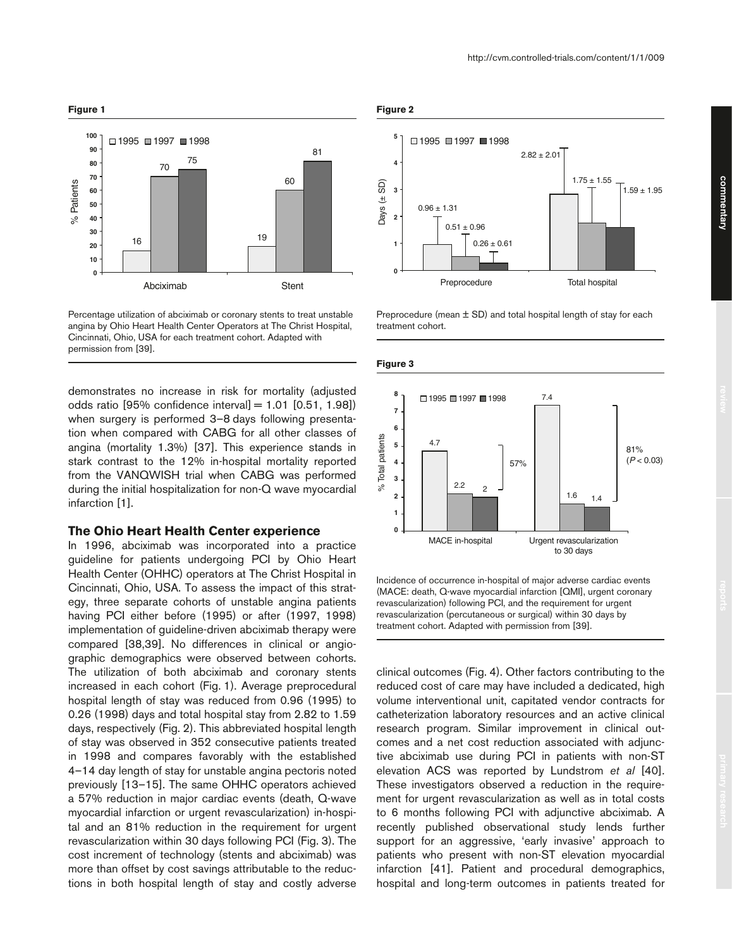

Percentage utilization of abciximab or coronary stents to treat unstable angina by Ohio Heart Health Center Operators at The Christ Hospital, Cincinnati, Ohio, USA for each treatment cohort. Adapted with permission from [39].

demonstrates no increase in risk for mortality (adjusted odds ratio [95% confidence interval] = 1.01 [0.51, 1.98]) when surgery is performed 3–8 days following presentation when compared with CABG for all other classes of angina (mortality 1.3%) [37]. This experience stands in stark contrast to the 12% in-hospital mortality reported from the VANQWISH trial when CABG was performed during the initial hospitalization for non-Q wave myocardial infarction [1].

#### **The Ohio Heart Health Center experience**

In 1996, abciximab was incorporated into a practice guideline for patients undergoing PCI by Ohio Heart Health Center (OHHC) operators at The Christ Hospital in Cincinnati, Ohio, USA. To assess the impact of this strategy, three separate cohorts of unstable angina patients having PCI either before (1995) or after (1997, 1998) implementation of guideline-driven abciximab therapy were compared [38,39]. No differences in clinical or angiographic demographics were observed between cohorts. The utilization of both abciximab and coronary stents increased in each cohort (Fig. 1). Average preprocedural hospital length of stay was reduced from 0.96 (1995) to 0.26 (1998) days and total hospital stay from 2.82 to 1.59 days, respectively (Fig. 2). This abbreviated hospital length of stay was observed in 352 consecutive patients treated in 1998 and compares favorably with the established 4–14 day length of stay for unstable angina pectoris noted previously [13–15]. The same OHHC operators achieved a 57% reduction in major cardiac events (death, Q-wave myocardial infarction or urgent revascularization) in-hospital and an 81% reduction in the requirement for urgent revascularization within 30 days following PCI (Fig. 3). The cost increment of technology (stents and abciximab) was more than offset by cost savings attributable to the reductions in both hospital length of stay and costly adverse

#### **Figure 2**



Preprocedure (mean ± SD) and total hospital length of stay for each treatment cohort.

#### **Figure 3**



Incidence of occurrence in-hospital of major adverse cardiac events (MACE: death, Q-wave myocardial infarction [QMI], urgent coronary revascularization) following PCI, and the requirement for urgent revascularization (percutaneous or surgical) within 30 days by treatment cohort. Adapted with permission from [39].

clinical outcomes (Fig. 4). Other factors contributing to the reduced cost of care may have included a dedicated, high volume interventional unit, capitated vendor contracts for catheterization laboratory resources and an active clinical research program. Similar improvement in clinical outcomes and a net cost reduction associated with adjunctive abciximab use during PCI in patients with non-ST elevation ACS was reported by Lundstrom *et al* [40]. These investigators observed a reduction in the requirement for urgent revascularization as well as in total costs to 6 months following PCI with adjunctive abciximab. A recently published observational study lends further support for an aggressive, 'early invasive' approach to patients who present with non-ST elevation myocardial infarction [41]. Patient and procedural demographics, hospital and long-term outcomes in patients treated for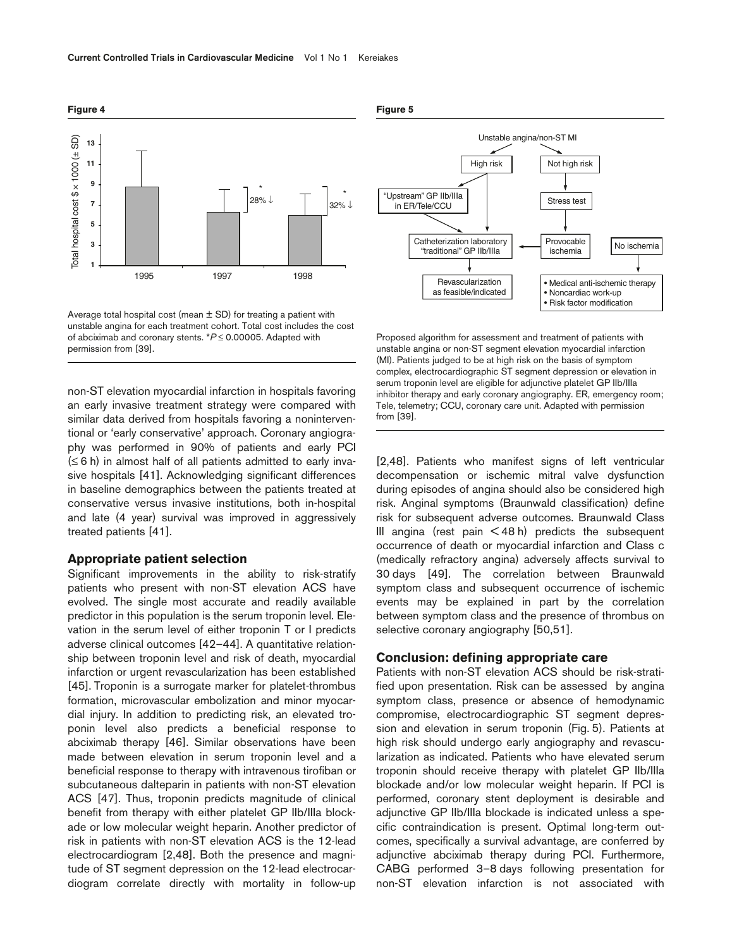unstable angina for each treatment cohort. Total cost includes the cost of abciximab and coronary stents. \**P* ≤ 0.00005. Adapted with permission from [39].

1995 1997 1998

28% ↓  $\begin{bmatrix} 1 & 32 & 156 \\ 32 & 56 & 16 \\ 32 & 32 & 56 \\ 32 & 32 & 32 \end{bmatrix}$  $\begin{array}{ccc} \cdot & \cdot & \cdot \\ \cdot & \cdot & \cdot \end{array}$ 

Average total hospital cost (mean  $\pm$  SD) for treating a patient with

non-ST elevation myocardial infarction in hospitals favoring an early invasive treatment strategy were compared with similar data derived from hospitals favoring a noninterventional or 'early conservative' approach. Coronary angiography was performed in 90% of patients and early PCI  $(\leq 6$  h) in almost half of all patients admitted to early invasive hospitals [41]. Acknowledging significant differences in baseline demographics between the patients treated at conservative versus invasive institutions, both in-hospital and late (4 year) survival was improved in aggressively treated patients [41].

#### **Appropriate patient selection**

Significant improvements in the ability to risk-stratify patients who present with non-ST elevation ACS have evolved. The single most accurate and readily available predictor in this population is the serum troponin level. Elevation in the serum level of either troponin T or I predicts adverse clinical outcomes [42–44]. A quantitative relationship between troponin level and risk of death, myocardial infarction or urgent revascularization has been established [45]. Troponin is a surrogate marker for platelet-thrombus formation, microvascular embolization and minor myocardial injury. In addition to predicting risk, an elevated troponin level also predicts a beneficial response to abciximab therapy [46]. Similar observations have been made between elevation in serum troponin level and a beneficial response to therapy with intravenous tirofiban or subcutaneous dalteparin in patients with non-ST elevation ACS [47]. Thus, troponin predicts magnitude of clinical benefit from therapy with either platelet GP IIb/IIIa blockade or low molecular weight heparin. Another predictor of risk in patients with non-ST elevation ACS is the 12-lead electrocardiogram [2,48]. Both the presence and magnitude of ST segment depression on the 12-lead electrocardiogram correlate directly with mortality in follow-up

**Figure 5**



Proposed algorithm for assessment and treatment of patients with unstable angina or non-ST segment elevation myocardial infarction (MI). Patients judged to be at high risk on the basis of symptom complex, electrocardiographic ST segment depression or elevation in serum troponin level are eligible for adjunctive platelet GP IIb/IIIa inhibitor therapy and early coronary angiography. ER, emergency room; Tele, telemetry; CCU, coronary care unit. Adapted with permission from [39].

[2,48]. Patients who manifest signs of left ventricular decompensation or ischemic mitral valve dysfunction during episodes of angina should also be considered high risk. Anginal symptoms (Braunwald classification) define risk for subsequent adverse outcomes. Braunwald Class III angina (rest pain  $\lt$  48 h) predicts the subsequent occurrence of death or myocardial infarction and Class c (medically refractory angina) adversely affects survival to 30 days [49]. The correlation between Braunwald symptom class and subsequent occurrence of ischemic events may be explained in part by the correlation between symptom class and the presence of thrombus on selective coronary angiography [50,51].

## **Conclusion: defining appropriate care**

Patients with non-ST elevation ACS should be risk-stratified upon presentation. Risk can be assessed by angina symptom class, presence or absence of hemodynamic compromise, electrocardiographic ST segment depression and elevation in serum troponin (Fig. 5). Patients at high risk should undergo early angiography and revascularization as indicated. Patients who have elevated serum troponin should receive therapy with platelet GP IIb/IIIa blockade and/or low molecular weight heparin. If PCI is performed, coronary stent deployment is desirable and adjunctive GP IIb/IIIa blockade is indicated unless a specific contraindication is present. Optimal long-term outcomes, specifically a survival advantage, are conferred by adjunctive abciximab therapy during PCI. Furthermore, CABG performed 3–8 days following presentation for non-ST elevation infarction is not associated with

**Figure 4**

Total hospital cost \$ × 1000 (± SD)

Total hospital cost  $$ \times 1000 \ (\pm 5D)$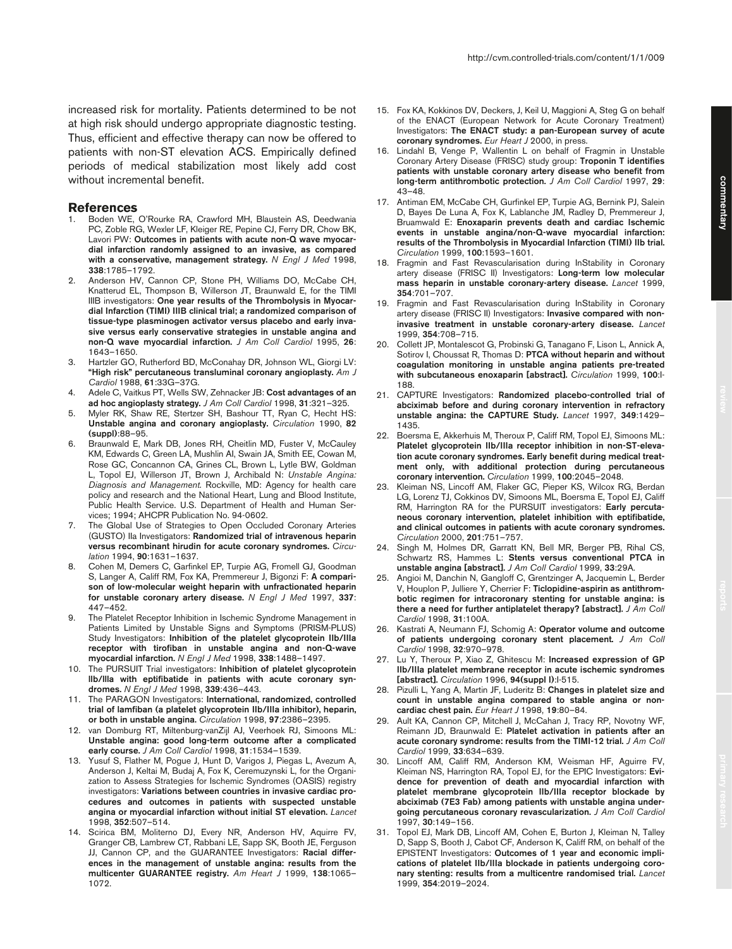increased risk for mortality. Patients determined to be not at high risk should undergo appropriate diagnostic testing. Thus, efficient and effective therapy can now be offered to patients with non-ST elevation ACS. Empirically defined periods of medical stabilization most likely add cost without incremental benefit.

## **References**

- 1. Boden WE, O'Rourke RA, Crawford MH, Blaustein AS, Deedwania PC, Zoble RG, Wexler LF, Kleiger RE, Pepine CJ, Ferry DR, Chow BK, Lavori PW: **Outcomes in patients with acute non-Q wave myocardial infarction randomly assigned to an invasive, as compared with a conservative, management strategy.** *N Engl J Med* 1998, **338**:1785–1792.
- 2. Anderson HV, Cannon CP, Stone PH, Williams DO, McCabe CH, Knatterud EL, Thompson B, Willerson JT, Braunwald E, for the TIMI IIIB investigators: **One year results of the Thrombolysis in Myocardial Infarction (TIMI) IIIB clinical trial; a randomized comparison of tissue-type plasminogen activator versus placebo and early invasive versus early conservative strategies in unstable angina and non-Q wave myocardial infarction.** *J Am Coll Cardiol* 1995, **26**: 1643–1650.
- 3. Hartzler GO, Rutherford BD, McConahay DR, Johnson WL, Giorgi LV: **"High risk" percutaneous transluminal coronary angioplasty.** *Am J Cardiol* 1988, **61**:33G–37G.
- 4. Adele C, Vaitkus PT, Wells SW, Zehnacker JB: **Cost advantages of an ad hoc angioplasty strategy.** *J Am Coll Cardiol* 1998, **31**:321–325.
- 5. Myler RK, Shaw RE, Stertzer SH, Bashour TT, Ryan C, Hecht HS: **Unstable angina and coronary angioplasty.** *Circulation* 1990, **82 (suppl)**:88–95.
- 6. Braunwald E, Mark DB, Jones RH, Cheitlin MD, Fuster V, McCauley KM, Edwards C, Green LA, Mushlin AI, Swain JA, Smith EE, Cowan M, Rose GC, Concannon CA, Grines CL, Brown L, Lytle BW, Goldman L, Topol EJ, Willerson JT, Brown J, Archibald N: *Unstable Angina: Diagnosis and Management.* Rockville, MD: Agency for health care policy and research and the National Heart, Lung and Blood Institute, Public Health Service. U.S. Department of Health and Human Services; 1994; AHCPR Publication No. 94-0602.
- 7. The Global Use of Strategies to Open Occluded Coronary Arteries (GUSTO) IIa Investigators: **Randomized trial of intravenous heparin versus recombinant hirudin for acute coronary syndromes.** *Circulation* 1994, **90**:1631–1637.
- 8. Cohen M, Demers C, Garfinkel EP, Turpie AG, Fromell GJ, Goodman S, Langer A, Califf RM, Fox KA, Premmereur J, Bigonzi F: **A comparison of low-molecular weight heparin with unfractionated heparin for unstable coronary artery disease.** *N Engl J Med* 1997, **337**: 447–452.
- The Platelet Receptor Inhibition in Ischemic Syndrome Management in Patients Limited by Unstable Signs and Symptoms (PRISM-PLUS) Study Investigators: **Inhibition of the platelet glycoprotein IIb/IIIa receptor with tirofiban in unstable angina and non-Q-wave myocardial infarction.** *N Engl J Med* 1998, **338**:1488–1497.
- 10. The PURSUIT Trial investigators: **Inhibition of platelet glycoprotein llb/llla with eptifibatide in patients with acute coronary syndromes.** *N Engl J Med* 1998, **339**:436–443.
- 11. The PARAGON Investigators: **International, randomized, controlled trial of lamfiban (a platelet glycoprotein IIb/IIIa inhibitor), heparin, or both in unstable angina.** *Circulation* 1998, **97**:2386–2395.
- 12. van Domburg RT, Miltenburg-vanZijl AJ, Veerhoek RJ, Simoons ML: **Unstable angina: good long-term outcome after a complicated early course.** *J Am Coll Cardiol* 1998, **31**:1534–1539.
- 13. Yusuf S, Flather M, Pogue J, Hunt D, Varigos J, Piegas L, Avezum A, Anderson J, Keltai M, Budaj A, Fox K, Ceremuzynski L, for the Organization to Assess Strategies for Ischemic Syndromes (OASIS) registry investigators: **Variations between countries in invasive cardiac procedures and outcomes in patients with suspected unstable angina or myocardial infarction without initial ST elevation.** *Lancet* 1998, **352**:507–514.
- 14. Scirica BM, Moliterno DJ, Every NR, Anderson HV, Aquirre FV, Granger CB, Lambrew CT, Rabbani LE, Sapp SK, Booth JE, Ferguson JJ, Cannon CP, and the GUARANTEE Investigators: **Racial differences in the management of unstable angina: results from the multicenter GUARANTEE registry.** *Am Heart J* 1999, **138**:1065– 1072.
- 15. Fox KA, Kokkinos DV, Deckers, J, Keil U, Maggioni A, Steg G on behalf of the ENACT (European Network for Acute Coronary Treatment) Investigators: **The ENACT study: a pan-European survey of acute coronary syndromes.** *Eur Heart J* 2000, in press.
- 16. Lindahl B, Venge P, Wallentin L on behalf of Fragmin in Unstable Coronary Artery Disease (FRISC) study group: **Troponin T identifies patients with unstable coronary artery disease who benefit from long-term antithrombotic protection.** *J Am Coll Cardiol* 1997, **29**: 43–48.
- 17. Antiman EM, McCabe CH, Gurfinkel EP, Turpie AG, Bernink PJ, Salein D, Bayes De Luna A, Fox K, Lablanche JM, Radley D, Premmereur J, Bruamwald E: **Enoxaparin prevents death and cardiac Ischemic events in unstable angina/non-Q-wave myocardial infarction: results of the Thrombolysis in Myocardial Infarction (TIMI) IIb trial.** *Circulation* 1999, **100**:1593–1601.
- 18. Fragmin and Fast Revascularisation during InStability in Coronary artery disease (FRISC II) Investigators: **Long-term low molecular mass heparin in unstable coronary-artery disease.** *Lancet* 1999, **354**:701–707.
- 19. Fragmin and Fast Revascularisation during InStability in Coronary artery disease (FRISC II) Investigators: **Invasive compared with noninvasive treatment in unstable coronary-artery disease.** *Lancet* 1999, **354**:708–715.
- 20. Collett JP, Montalescot G, Probinski G, Tanagano F, Lison L, Annick A, Sotirov I, Choussat R, Thomas D: **PTCA without heparin and without coagulation monitoring in unstable angina patients pre-treated with subcutaneous enoxaparin [abstract].** *Circulation* 1999, **100**:I-188.
- 21. CAPTURE Investigators: **Randomized placebo-controlled trial of abciximab before and during coronary intervention in refractory unstable angina: the CAPTURE Study.** *Lancet* 1997, **349**:1429– 1435.
- 22. Boersma E, Akkerhuis M, Theroux P, Califf RM, Topol EJ, Simoons ML: **Platelet glycoprotein IIb/IIIa receptor inhibition in non-ST-elevation acute coronary syndromes. Early benefit during medical treatment only, with additional protection during percutaneous coronary intervention.** *Circulation* 1999, **100**:2045–2048.
- 23. Kleiman NS, Lincoff AM, Flaker GC, Pieper KS, Wilcox RG, Berdan LG, Lorenz TJ, Cokkinos DV, Simoons ML, Boersma E, Topol EJ, Califf RM, Harrington RA for the PURSUIT investigators: **Early percutaneous coronary intervention, platelet inhibition with eptifibatide, and clinical outcomes in patients with acute coronary syndromes.** *Circulation* 2000, **201**:751–757.
- 24. Singh M, Holmes DR, Garratt KN, Bell MR, Berger PB, Rihal CS, Schwartz RS, Hammes L: **Stents versus conventional PTCA in unstable angina [abstract].** *J Am Coll Cardiol* 1999, **33**:29A.
- 25. Angioi M, Danchin N, Gangloff C, Grentzinger A, Jacquemin L, Berder V, Houplon P, Julliere Y, Cherrier F: **Ticlopidine-aspirin as antithrombotic regimen for intracoronary stenting for unstable angina: is there a need for further antiplatelet therapy? [abstract].** *J Am Coll Cardiol* 1998, **31**:100A.
- 26. Kastrati A, Neumann FJ, Schomig A: **Operator volume and outcome of patients undergoing coronary stent placement.** *J Am Coll Cardiol* 1998, **32**:970–978.
- 27. Lu Y, Theroux P, Xiao Z, Ghitescu M: **Increased expression of GP IIb/IIIa platelet membrane receptor in acute ischemic syndromes [abstract].** *Circulation* 1996, **94(suppl I)**:I-515.
- 28. Pizulli L, Yang A, Martin JF, Luderitz B: **Changes in platelet size and count in unstable angina compared to stable angina or noncardiac chest pain.** *Eur Heart J* 1998, **19**:80–84.
- 29. Ault KA, Cannon CP, Mitchell J, McCahan J, Tracy RP, Novotny WF, Reimann JD, Braunwald E: **Platelet activation in patients after an acute coronary syndrome: results from the TIMI-12 trial.** *J Am Coll Cardiol* 1999, **33**:634–639.
- 30. Lincoff AM, Califf RM, Anderson KM, Weisman HF, Aguirre FV, Kleiman NS, Harrington RA, Topol EJ, for the EPIC Investigators: **Evidence for prevention of death and myocardial infarction with platelet membrane glycoprotein IIb/IIIa receptor blockade by abciximab (7E3 Fab) among patients with unstable angina undergoing percutaneous coronary revascularization.** *J Am Coll Cardiol* 1997, **30**:149–156.
- Topol EJ, Mark DB, Lincoff AM, Cohen E, Burton J, Kleiman N, Talley D, Sapp S, Booth J, Cabot CF, Anderson K, Califf RM, on behalf of the EPISTENT Investigators: **Outcomes of 1 year and economic implications of platelet IIb/IIIa blockade in patients undergoing coronary stenting: results from a multicentre randomised trial.** *Lancet* 1999, **354**:2019–2024.